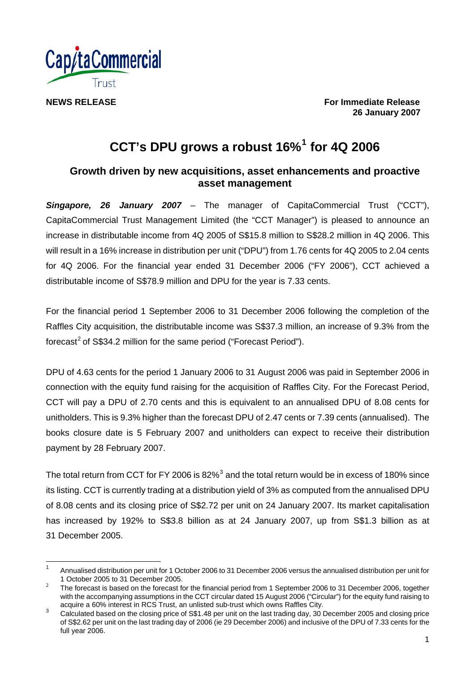

**NEWS RELEASE For Immediate Release 26 January 2007** 

# **CCT's DPU grows a robust 16%[1](#page-0-0) for 4Q 2006**

## **Growth driven by new acquisitions, asset enhancements and proactive asset management**

*Singapore, 26 January 2007* – The manager of CapitaCommercial Trust ("CCT"), CapitaCommercial Trust Management Limited (the "CCT Manager") is pleased to announce an increase in distributable income from 4Q 2005 of S\$15.8 million to S\$28.2 million in 4Q 2006. This will result in a 16% increase in distribution per unit ("DPU") from 1.76 cents for 4Q 2005 to 2.04 cents for 4Q 2006. For the financial year ended 31 December 2006 ("FY 2006"), CCT achieved a distributable income of S\$78.9 million and DPU for the year is 7.33 cents.

For the financial period 1 September 2006 to 31 December 2006 following the completion of the Raffles City acquisition, the distributable income was S\$37.3 million, an increase of 9.3% from the forecast<sup>[2](#page-0-1)</sup> of S\$34.2 million for the same period ("Forecast Period").

DPU of 4.63 cents for the period 1 January 2006 to 31 August 2006 was paid in September 2006 in connection with the equity fund raising for the acquisition of Raffles City. For the Forecast Period, CCT will pay a DPU of 2.70 cents and this is equivalent to an annualised DPU of 8.08 cents for unitholders. This is 9.3% higher than the forecast DPU of 2.47 cents or 7.39 cents (annualised). The books closure date is 5 February 2007 and unitholders can expect to receive their distribution payment by 28 February 2007.

The total return from CCT for FY 2006 is 82% $^3$  $^3$  and the total return would be in excess of 180% since its listing. CCT is currently trading at a distribution yield of 3% as computed from the annualised DPU of 8.08 cents and its closing price of S\$2.72 per unit on 24 January 2007. Its market capitalisation has increased by 192% to S\$3.8 billion as at 24 January 2007, up from S\$1.3 billion as at 31 December 2005.

<span id="page-0-0"></span> $\frac{1}{1}$  Annualised distribution per unit for 1 October 2006 to 31 December 2006 versus the annualised distribution per unit for 1 October 2005 to 31 December 2005.

<span id="page-0-1"></span>The forecast is based on the forecast for the financial period from 1 September 2006 to 31 December 2006, together with the accompanying assumptions in the CCT circular dated 15 August 2006 ("Circular") for the equity fund raising to acquire a 60% interest in RCS Trust, an unlisted sub-trust which owns Raffles City.

<span id="page-0-2"></span><sup>3</sup> Calculated based on the closing price of S\$1.48 per unit on the last trading day, 30 December 2005 and closing price of S\$2.62 per unit on the last trading day of 2006 (ie 29 December 2006) and inclusive of the DPU of 7.33 cents for the full year 2006.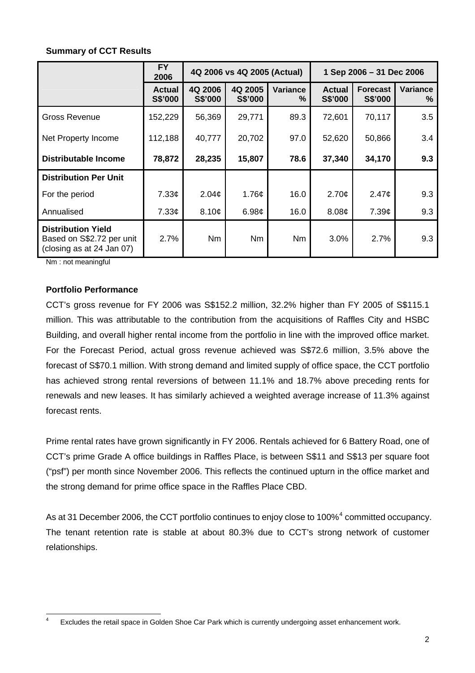## **Summary of CCT Results**

|                                                                                     | <b>FY</b><br>2006        | 4Q 2006 vs 4Q 2005 (Actual) |                    |                         | 1 Sep 2006 - 31 Dec 2006 |                            |                      |
|-------------------------------------------------------------------------------------|--------------------------|-----------------------------|--------------------|-------------------------|--------------------------|----------------------------|----------------------|
|                                                                                     | <b>Actual</b><br>S\$'000 | 4Q 2006<br>S\$'000          | 4Q 2005<br>S\$'000 | <b>Variance</b><br>$\%$ | <b>Actual</b><br>S\$'000 | <b>Forecast</b><br>S\$'000 | <b>Variance</b><br>℅ |
| Gross Revenue                                                                       | 152,229                  | 56,369                      | 29,771             | 89.3                    | 72,601                   | 70,117                     | 3.5                  |
| Net Property Income                                                                 | 112,188                  | 40,777                      | 20,702             | 97.0                    | 52,620                   | 50,866                     | 3.4                  |
| Distributable Income                                                                | 78,872                   | 28,235                      | 15,807             | 78.6                    | 37,340                   | 34,170                     | 9.3                  |
| <b>Distribution Per Unit</b>                                                        |                          |                             |                    |                         |                          |                            |                      |
| For the period                                                                      | 7.33¢                    | 2.04 <sub>c</sub>           | 1.76¢              | 16.0                    | 2.70¢                    | 2.47 <sub>¢</sub>          | 9.3                  |
| Annualised                                                                          | 7.33 <sub>¢</sub>        | 8.10¢                       | 6.98 <sub>c</sub>  | 16.0                    | 8.08¢                    | 7.39 <sub>¢</sub>          | 9.3                  |
| <b>Distribution Yield</b><br>Based on S\$2.72 per unit<br>(closing as at 24 Jan 07) | 2.7%                     | Nm                          | <b>Nm</b>          | <b>Nm</b>               | 3.0%                     | 2.7%                       | 9.3                  |

Nm : not meaningful

#### **Portfolio Performance**

CCT's gross revenue for FY 2006 was S\$152.2 million, 32.2% higher than FY 2005 of S\$115.1 million. This was attributable to the contribution from the acquisitions of Raffles City and HSBC Building, and overall higher rental income from the portfolio in line with the improved office market. For the Forecast Period, actual gross revenue achieved was S\$72.6 million, 3.5% above the forecast of S\$70.1 million. With strong demand and limited supply of office space, the CCT portfolio has achieved strong rental reversions of between 11.1% and 18.7% above preceding rents for renewals and new leases. It has similarly achieved a weighted average increase of 11.3% against forecast rents.

Prime rental rates have grown significantly in FY 2006. Rentals achieved for 6 Battery Road, one of CCT's prime Grade A office buildings in Raffles Place, is between S\$11 and S\$13 per square foot ("psf") per month since November 2006. This reflects the continued upturn in the office market and the strong demand for prime office space in the Raffles Place CBD.

As at 31 December 2006, the CCT portfolio continues to enjoy close to 100%<sup>[4](#page-1-0)</sup> committed occupancy. The tenant retention rate is stable at about 80.3% due to CCT's strong network of customer relationships.

<span id="page-1-0"></span> $\frac{1}{4}$ Excludes the retail space in Golden Shoe Car Park which is currently undergoing asset enhancement work.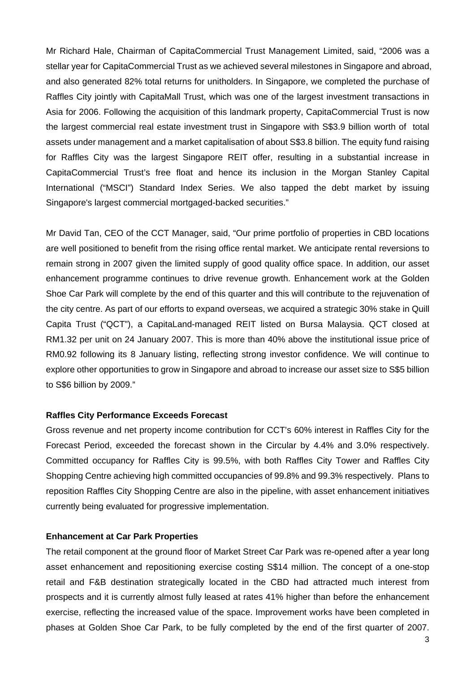Mr Richard Hale, Chairman of CapitaCommercial Trust Management Limited, said, "2006 was a stellar year for CapitaCommercial Trust as we achieved several milestones in Singapore and abroad, and also generated 82% total returns for unitholders. In Singapore, we completed the purchase of Raffles City jointly with CapitaMall Trust, which was one of the largest investment transactions in Asia for 2006. Following the acquisition of this landmark property, CapitaCommercial Trust is now the largest commercial real estate investment trust in Singapore with S\$3.9 billion worth of total assets under management and a market capitalisation of about S\$3.8 billion. The equity fund raising for Raffles City was the largest Singapore REIT offer, resulting in a substantial increase in CapitaCommercial Trust's free float and hence its inclusion in the Morgan Stanley Capital International ("MSCI") Standard Index Series. We also tapped the debt market by issuing Singapore's largest commercial mortgaged-backed securities."

Mr David Tan, CEO of the CCT Manager, said, "Our prime portfolio of properties in CBD locations are well positioned to benefit from the rising office rental market. We anticipate rental reversions to remain strong in 2007 given the limited supply of good quality office space. In addition, our asset enhancement programme continues to drive revenue growth. Enhancement work at the Golden Shoe Car Park will complete by the end of this quarter and this will contribute to the rejuvenation of the city centre. As part of our efforts to expand overseas, we acquired a strategic 30% stake in Quill Capita Trust ("QCT"), a CapitaLand-managed REIT listed on Bursa Malaysia. QCT closed at RM1.32 per unit on 24 January 2007. This is more than 40% above the institutional issue price of RM0.92 following its 8 January listing, reflecting strong investor confidence. We will continue to explore other opportunities to grow in Singapore and abroad to increase our asset size to S\$5 billion to S\$6 billion by 2009."

#### **Raffles City Performance Exceeds Forecast**

Gross revenue and net property income contribution for CCT's 60% interest in Raffles City for the Forecast Period, exceeded the forecast shown in the Circular by 4.4% and 3.0% respectively. Committed occupancy for Raffles City is 99.5%, with both Raffles City Tower and Raffles City Shopping Centre achieving high committed occupancies of 99.8% and 99.3% respectively. Plans to reposition Raffles City Shopping Centre are also in the pipeline, with asset enhancement initiatives currently being evaluated for progressive implementation.

#### **Enhancement at Car Park Properties**

The retail component at the ground floor of Market Street Car Park was re-opened after a year long asset enhancement and repositioning exercise costing S\$14 million. The concept of a one-stop retail and F&B destination strategically located in the CBD had attracted much interest from prospects and it is currently almost fully leased at rates 41% higher than before the enhancement exercise, reflecting the increased value of the space. Improvement works have been completed in phases at Golden Shoe Car Park, to be fully completed by the end of the first quarter of 2007.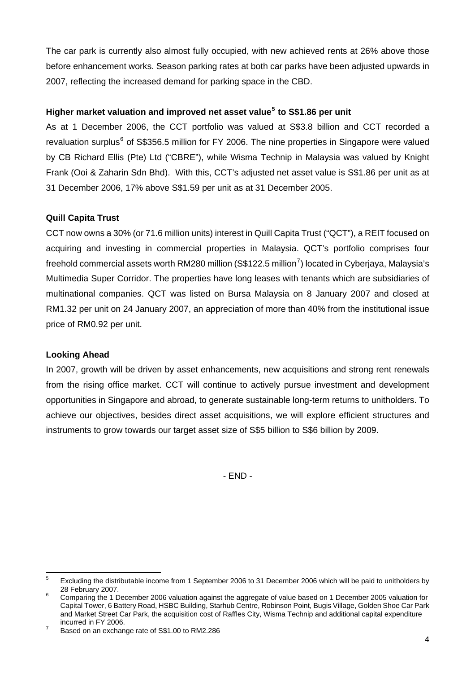The car park is currently also almost fully occupied, with new achieved rents at 26% above those before enhancement works. Season parking rates at both car parks have been adjusted upwards in 2007, reflecting the increased demand for parking space in the CBD.

#### **Higher market valuation and improved net asset value[5](#page-3-0) to S\$1.86 per unit**

As at 1 December 2006, the CCT portfolio was valued at S\$3.8 billion and CCT recorded a revaluation surplus<sup>[6](#page-3-1)</sup> of S\$356.5 million for FY 2006. The nine properties in Singapore were valued by CB Richard Ellis (Pte) Ltd ("CBRE"), while Wisma Technip in Malaysia was valued by Knight Frank (Ooi & Zaharin Sdn Bhd). With this, CCT's adjusted net asset value is S\$1.86 per unit as at 31 December 2006, 17% above S\$1.59 per unit as at 31 December 2005.

## **Quill Capita Trust**

CCT now owns a 30% (or 71.6 million units) interest in Quill Capita Trust ("QCT"), a REIT focused on acquiring and investing in commercial properties in Malaysia. QCT's portfolio comprises four freehold commercial assets worth RM280 million (S\$122.5 million<sup>[7](#page-3-2)</sup>) located in Cyberjaya, Malaysia's Multimedia Super Corridor. The properties have long leases with tenants which are subsidiaries of multinational companies. QCT was listed on Bursa Malaysia on 8 January 2007 and closed at RM1.32 per unit on 24 January 2007, an appreciation of more than 40% from the institutional issue price of RM0.92 per unit.

#### **Looking Ahead**

In 2007, growth will be driven by asset enhancements, new acquisitions and strong rent renewals from the rising office market. CCT will continue to actively pursue investment and development opportunities in Singapore and abroad, to generate sustainable long-term returns to unitholders. To achieve our objectives, besides direct asset acquisitions, we will explore efficient structures and instruments to grow towards our target asset size of S\$5 billion to S\$6 billion by 2009.

- END -

<span id="page-3-0"></span> $\frac{1}{5}$  Excluding the distributable income from 1 September 2006 to 31 December 2006 which will be paid to unitholders by 28 February 2007.

<span id="page-3-1"></span>Comparing the 1 December 2006 valuation against the aggregate of value based on 1 December 2005 valuation for Capital Tower, 6 Battery Road, HSBC Building, Starhub Centre, Robinson Point, Bugis Village, Golden Shoe Car Park and Market Street Car Park, the acquisition cost of Raffles City, Wisma Technip and additional capital expenditure  $\frac{1}{7}$  incurred in FY 2006.

<span id="page-3-2"></span>Based on an exchange rate of S\$1.00 to RM2.286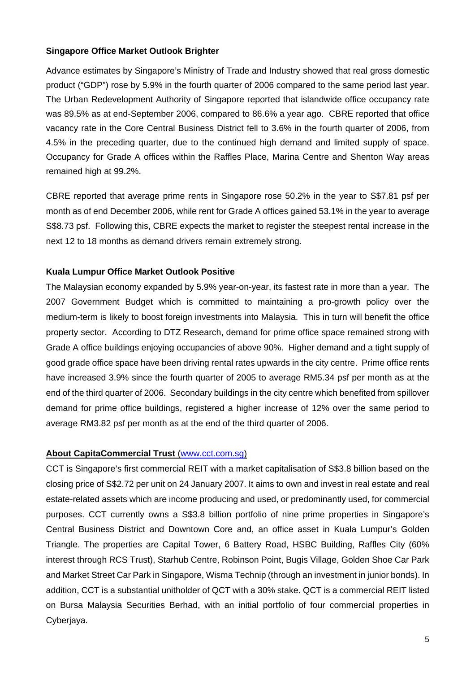#### **Singapore Office Market Outlook Brighter**

Advance estimates by Singapore's Ministry of Trade and Industry showed that real gross domestic product ("GDP") rose by 5.9% in the fourth quarter of 2006 compared to the same period last year. The Urban Redevelopment Authority of Singapore reported that islandwide office occupancy rate was 89.5% as at end-September 2006, compared to 86.6% a year ago. CBRE reported that office vacancy rate in the Core Central Business District fell to 3.6% in the fourth quarter of 2006, from 4.5% in the preceding quarter, due to the continued high demand and limited supply of space. Occupancy for Grade A offices within the Raffles Place, Marina Centre and Shenton Way areas remained high at 99.2%.

CBRE reported that average prime rents in Singapore rose 50.2% in the year to S\$7.81 psf per month as of end December 2006, while rent for Grade A offices gained 53.1% in the year to average S\$8.73 psf. Following this, CBRE expects the market to register the steepest rental increase in the next 12 to 18 months as demand drivers remain extremely strong.

## **Kuala Lumpur Office Market Outlook Positive**

The Malaysian economy expanded by 5.9% year-on-year, its fastest rate in more than a year. The 2007 Government Budget which is committed to maintaining a pro-growth policy over the medium-term is likely to boost foreign investments into Malaysia. This in turn will benefit the office property sector. According to DTZ Research, demand for prime office space remained strong with Grade A office buildings enjoying occupancies of above 90%. Higher demand and a tight supply of good grade office space have been driving rental rates upwards in the city centre. Prime office rents have increased 3.9% since the fourth quarter of 2005 to average RM5.34 psf per month as at the end of the third quarter of 2006. Secondary buildings in the city centre which benefited from spillover demand for prime office buildings, registered a higher increase of 12% over the same period to average RM3.82 psf per month as at the end of the third quarter of 2006.

## **About CapitaCommercial Trust** (www.cct.com.sg)

CCT is Singapore's first commercial REIT with a market capitalisation of S\$3.8 billion based on the closing price of S\$2.72 per unit on 24 January 2007. It aims to own and invest in real estate and real estate-related assets which are income producing and used, or predominantly used, for commercial purposes. CCT currently owns a S\$3.8 billion portfolio of nine prime properties in Singapore's Central Business District and Downtown Core and, an office asset in Kuala Lumpur's Golden Triangle. The properties are Capital Tower, 6 Battery Road, HSBC Building, Raffles City (60% interest through RCS Trust), Starhub Centre, Robinson Point, Bugis Village, Golden Shoe Car Park and Market Street Car Park in Singapore, Wisma Technip (through an investment in junior bonds). In addition, CCT is a substantial unitholder of QCT with a 30% stake. QCT is a commercial REIT listed on Bursa Malaysia Securities Berhad, with an initial portfolio of four commercial properties in Cyberjaya.